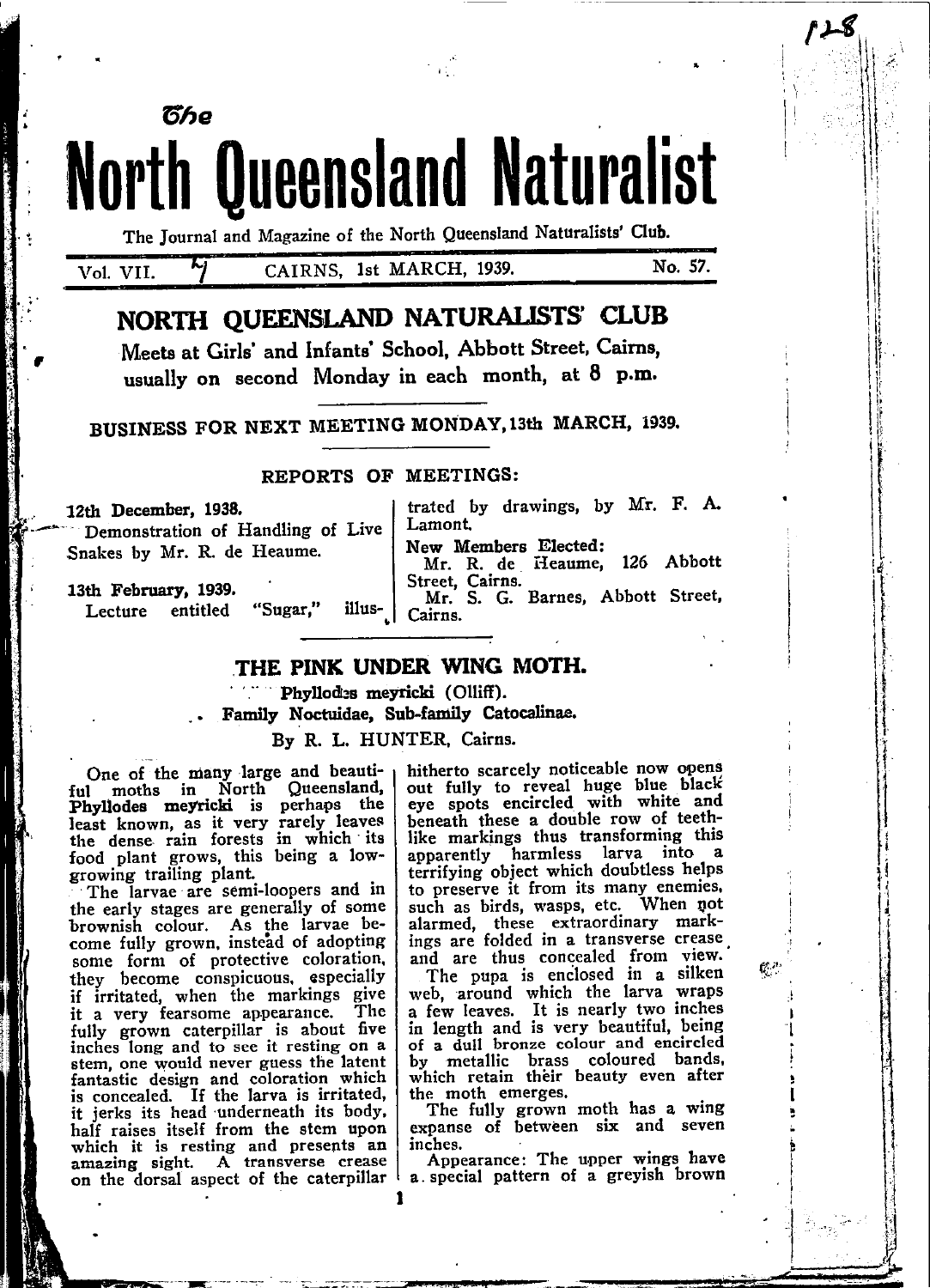**North Queensland Naturalist** The Journal and Magazine of the North Queensland Naturalists' Club.

Vol. VII.

็ดีคด

# CAIRNS, 1st MARCH, 1939.

No. 57.

126 Abbott

ť.

# NORTH OUEENSLAND NATURALISTS' CLUB

Meets at Girls' and Infants' School. Abbott Street, Cairns, usually on second Monday in each month, at 8 p.m.

BUSINESS FOR NEXT MEETING MONDAY, 13th MARCH, 1939.

### REPORTS OF MEETINGS:

# 12th December, 1938.

Demonstration of Handling of Live Snakes by Mr. R. de Heaume.

New Members Elected: Mr. R. de Heaume, Street, Cairns. Mr. S. G. Barnes, Abbott Street,

13th February, 1939. "Sugar," illus-Lecture entitled

## THE PINK UNDER WING MOTH.

Lamont.

Cairns.

Phyllodes meyricki (Olliff).

Family Noctuidae, Sub-family Catocalinae.

By R. L. HUNTER, Cairns.

One of the many large and beautiful moths in North Queensland, Phyllodes meyricki is perhaps the least known, as it very rarely leaves the dense rain forests in which its food plant grows, this being a lowgrowing trailing plant.

The larvae are semi-loopers and in the early stages are generally of some brownish colour. As the larvae become fully grown, instead of adopting some form of protective coloration,<br>they become conspicuous, especially if irritated, when the markings give The it a very fearsome appearance. fully grown caterpillar is about five inches long and to see it resting on a stem, one would never guess the latent fantastic design and coloration which is concealed. If the larva is irritated, it jerks its head underneath its body. half raises itself from the stem upon which it is resting and presents an amazing sight. A transverse crease on the dorsal aspect of the caterpillar hitherto scarcely noticeable now opens out fully to reveal huge blue black eye spots encircled with white and beneath these a double row of teethlike markings thus transforming this apparently harmless larva into a terrifying object which doubtless helps to preserve it from its many enemies. such as birds, wasps, etc. When not alarmed, these extraordinary markings are folded in a transverse crease and are thus concealed from view.

trated by drawings, by Mr. F. A.

The pupa is enclosed in a silken web, around which the larva wraps a few leaves. It is nearly two inches in length and is very beautiful, being of a dull bronze colour and encircled by metallic brass coloured bands, which retain their beauty even after the moth emerges.

The fully grown moth has a wing<br>expanse of between six and seven inches.

Appearance: The upper wings have a special pattern of a greyish brown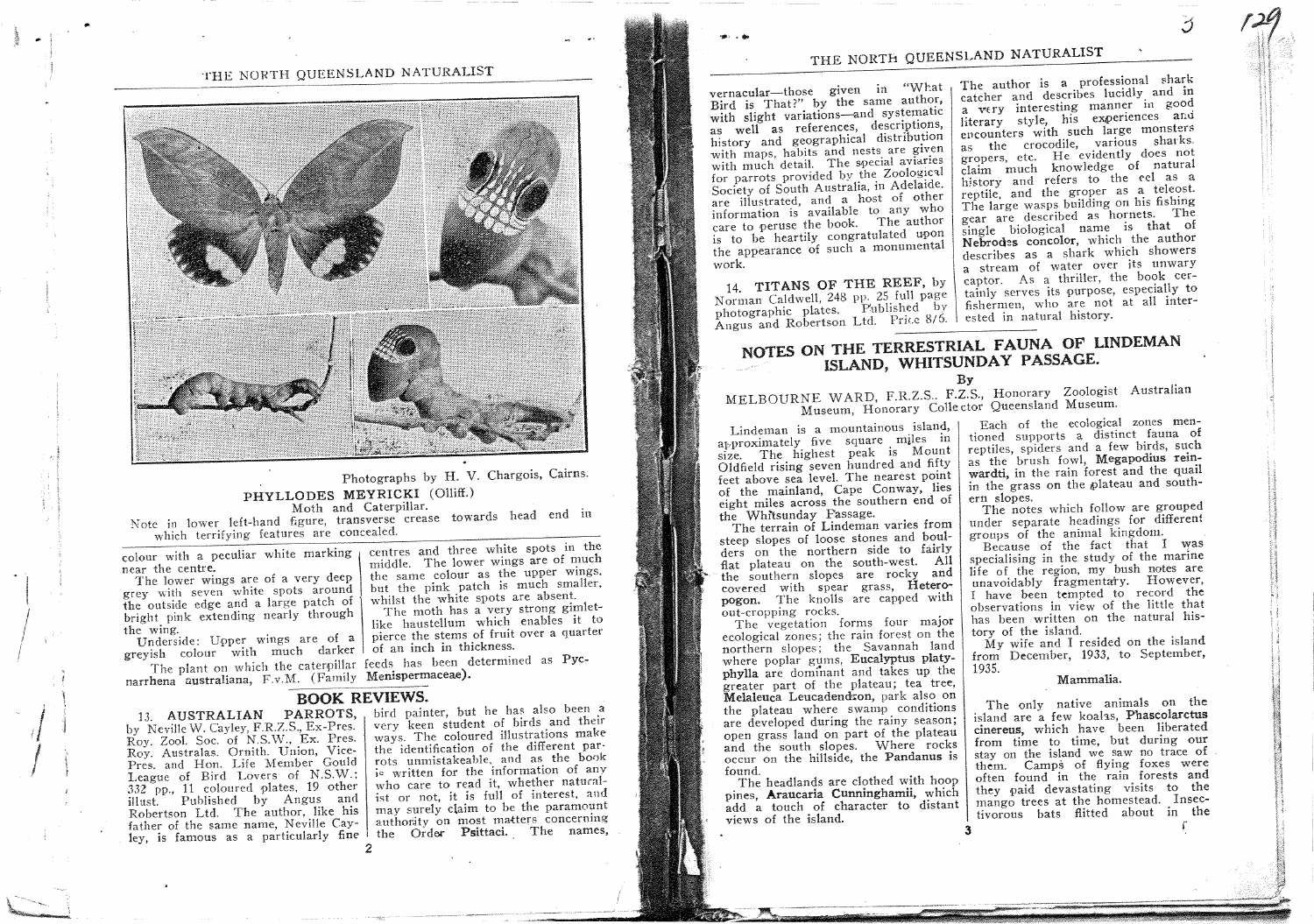

### Photographs by H. V. Chargois, Cairns. PHYLLODES MEYRICKI (Olliff.) Moth and Caterpillar.

Note in lower left-hand figure, transverse crease towards head end in which terrifying features are concealed.

colour with a peculiar white marking near the centre.

The lower wings are of a very deep grey with seven white spots around the outside edge and a large patch of bright pink extending nearly through the wing.

Underside: Upper wings are of a greyish colour with much darker of an inch in thickness.

narrhena australiana, F.v.M. (Family Menispermaceae).

### **BOOK REVIEWS.**

13. AUSTRALIAN PARROTS, by Neville W. Cayley, F.R.Z.S., Ex-Pres. Roy. Zool. Soc. of N.S.W., Ex. Pres. Roy. Australas. Ornith. Union, Vice-Pres. and Hon. Life Member Gould League of Bird Lovers of N.S.W.; 332 pp., 11 coloured plates, 19 other illust. Published by Angus and Robertson Ltd. The author, like his father of the same name, Neville Cayley, is famous as a particularly fine the Order Psittaci. The names,

centres and three white spots in the middle. The lower wings are of much the same colour as the upper wings. but the pink patch is much smaller, whilst the white spots are absent. The moth has a very strong gimlet-

like haustellum which enables it to pierce the stems of fruit over a quarter

The plant on which the caterpillar feeds has been determined as Pyc-

, bird painter, but he has also been a very keen student of birds and their ways. The coloured illustrations make the identification of the different parrots unmistakeable, and as the book is written for the information of any who care to read it, whether naturalist or not, it is full of interest, and may surely claim to be the paramount authority on most matters concerning

# THE NORTH QUEENSLAND NATURALIST

vernacular-those given in "What Bird is That?" by the same author, with slight variations-and systematic as well as references, descriptions, history and geographical distribution with maps, habits and nests are given with much detail. The special aviaries for parrots provided by the Zoological Society of South Australia, in Adelaide. are illustrated, and a host of other information is available to any who care to peruse the book. The author is to be heartily congratulated upon the appearance of such a monumental work.

14. TITANS OF THE REEF, by Norman Caldwell, 248 pp. 25 full page photographic plates. Published by Angus and Robertson Ltd. Price 8/6. I ested in natural history.

The author is a professional shark catcher and describes lucidly and in a very interesting manner in good literary style, his experiences and encounters with such large monsters as the crocodile, various sharks. gropers, etc. He evidently does not claim much knowledge of natural history and refers to the eel as a reptile, and the groper as a teleost. The large wasps building on his fishing gear are described as hornets. The single biological name is that of Nebrodes concolor, which the author describes as a shark which showers a stream of water over its unwary captor. As a thriller, the book certainly serves its purpose, especially to fishermen, who are not at all inter-

# NOTES ON THE TERRESTRIAL FAUNA OF LINDEMAN ISLAND, WHITSUNDAY PASSAGE.

 $Bv$ 

# MELBOURNE WARD, F.R.Z.S., F.Z.S., Honorary Zoologist Australian Museum, Honorary Collector Queensland Museum.

Lindeman is a mountainous island, approximately five square miles in size. The highest peak is Mount Oldfield rising seven hundred and fifty feet above sea level. The nearest point of the mainland, Cape Conway, lies eight miles across the southern end of the Whitsunday Passage.

The terrain of Lindeman varies from steep slopes of loose stones and boulders on the northern side to fairly flat plateau on the south-west. All the southern slopes are rocky and covered with spear grass, Heteropogon. The knolls are capped with out-cropping rocks.

The vegetation forms four major ecological zones; the rain forest on the northern slopes; the Savannah land where poplar gums, Eucalyptus platyphylla are dominant and takes up the greater part of the plateau; tea tree, Melaleuca Leucadendron, park also on the plateau where swamp conditions are developed during the rainy season; open grass land on part of the plateau and the south slopes. Where rocks occur on the hillside, the Pandanus is found.

The headlands are clothed with hoop pines, Araucaria Cunninghamii, which add a touch of character to distant views of the island.

Each of the ecological zones mentioned supports a distinct fauna of reptiles, spiders and a few birds, such as the brush fowl, Megapodius reinwardti, in the rain forest and the quail in the grass on the plateau and southern slopes.

The notes which follow are grouped under separate headings for different groups of the animal kingdom.

Because of the fact that I was specialising in the study of the marine life of the region, my bush notes are unavoidably fragmentary. However, I have been tempted to record the observations in view of the little that has been written on the natural history of the island.

 $My$  wife and I resided on the island from December, 1933, to September, 1935.

### Mammalia.

The only native animals on the island are a few koalas, Phascolarctus cinereus, which have been liberated from time to time, but during our stay on the island we saw no trace of them. Camps of flying foxes were often found in the rain forests and they paid devastating visits to the mango trees at the homestead. Insectivorous bats flitted about in the